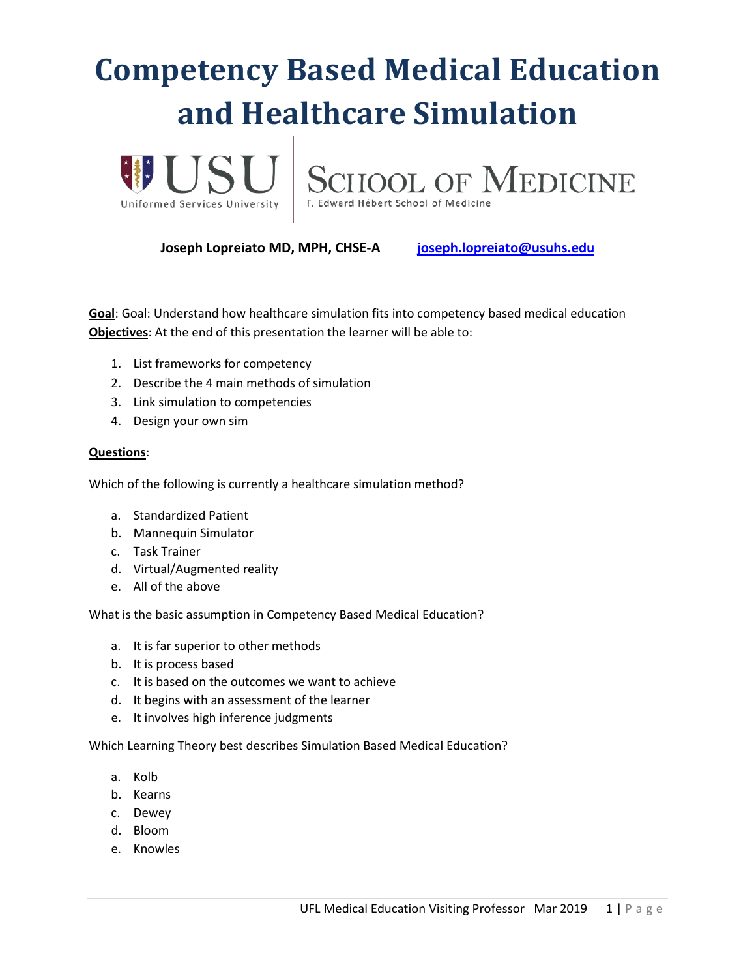# **Competency Based Medical Education and Healthcare Simulation**





**Joseph Lopreiato MD, MPH, CHSE-A [joseph.lopreiato@usuhs.edu](mailto:joseph.lopreiato@usuhs.edu)**

**Goal**: Goal: Understand how healthcare simulation fits into competency based medical education **Objectives**: At the end of this presentation the learner will be able to:

- 1. List frameworks for competency
- 2. Describe the 4 main methods of simulation
- 3. Link simulation to competencies
- 4. Design your own sim

#### **Questions**:

Which of the following is currently a healthcare simulation method?

- a. Standardized Patient
- b. Mannequin Simulator
- c. Task Trainer
- d. Virtual/Augmented reality
- e. All of the above

What is the basic assumption in Competency Based Medical Education?

- a. It is far superior to other methods
- b. It is process based
- c. It is based on the outcomes we want to achieve
- d. It begins with an assessment of the learner
- e. It involves high inference judgments

Which Learning Theory best describes Simulation Based Medical Education?

- a. Kolb
- b. Kearns
- c. Dewey
- d. Bloom
- e. Knowles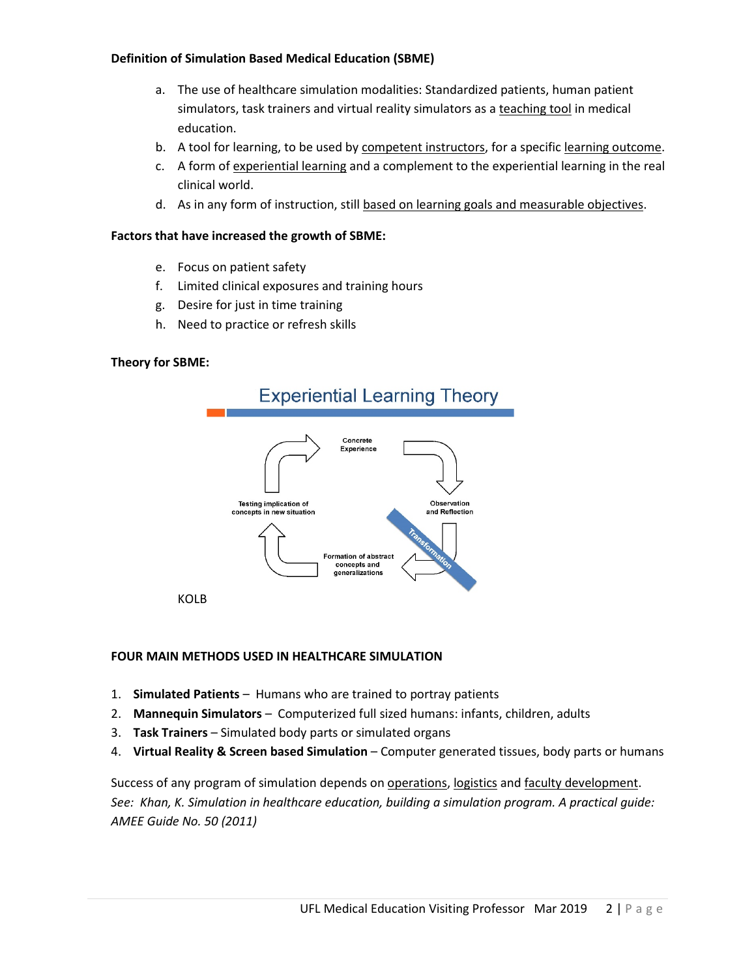#### **Definition of Simulation Based Medical Education (SBME)**

- a. The use of healthcare simulation modalities: Standardized patients, human patient simulators, task trainers and virtual reality simulators as a teaching tool in medical education.
- b. A tool for learning, to be used by competent instructors, for a specific learning outcome.
- c. A form of experiential learning and a complement to the experiential learning in the real clinical world.
- d. As in any form of instruction, still based on learning goals and measurable objectives.

#### **Factors that have increased the growth of SBME:**

- e. Focus on patient safety
- f. Limited clinical exposures and training hours
- g. Desire for just in time training
- h. Need to practice or refresh skills

#### **Theory for SBME:**



KOLB

#### **FOUR MAIN METHODS USED IN HEALTHCARE SIMULATION**

- 1. **Simulated Patients** Humans who are trained to portray patients
- 2. **Mannequin Simulators** Computerized full sized humans: infants, children, adults
- 3. **Task Trainers** Simulated body parts or simulated organs
- 4. **Virtual Reality & Screen based Simulation** Computer generated tissues, body parts or humans

Success of any program of simulation depends on operations, logistics and faculty development. *See: Khan, K. Simulation in healthcare education, building a simulation program. A practical guide: AMEE Guide No. 50 (2011)*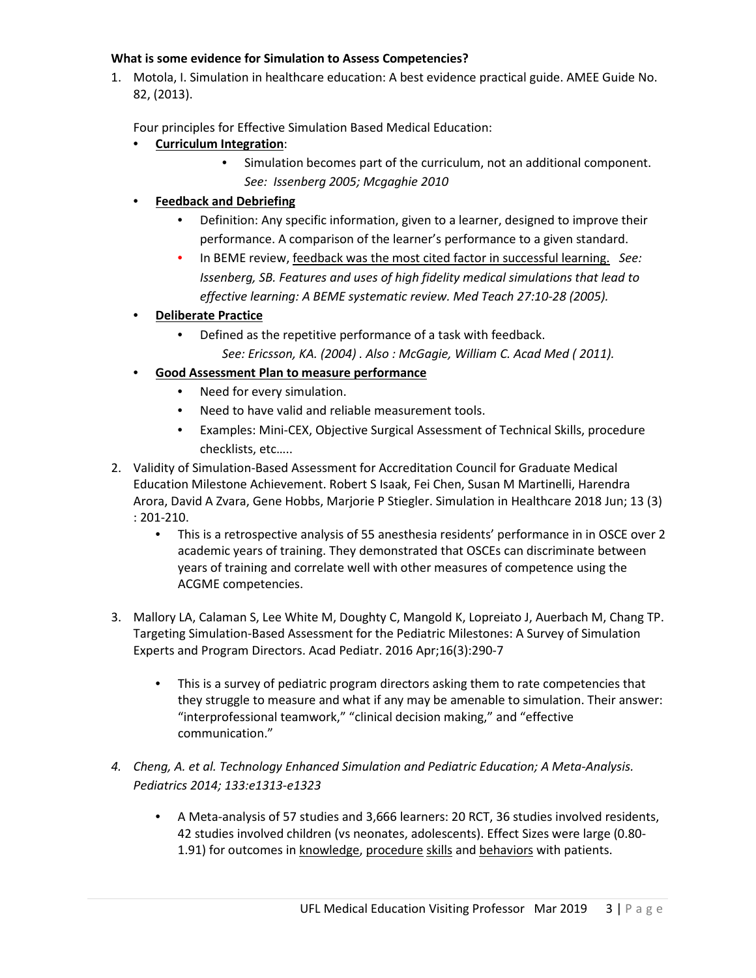#### **What is some evidence for Simulation to Assess Competencies?**

1. Motola, I. Simulation in healthcare education: A best evidence practical guide. AMEE Guide No. 82, (2013).

Four principles for Effective Simulation Based Medical Education:

- **Curriculum Integration**:
	- Simulation becomes part of the curriculum, not an additional component. *See: Issenberg 2005; Mcgaghie 2010*
- **Feedback and Debriefing**
	- Definition: Any specific information, given to a learner, designed to improve their performance. A comparison of the learner's performance to a given standard.
	- In BEME review, feedback was the most cited factor in successful learning. *See: Issenberg, SB. Features and uses of high fidelity medical simulations that lead to effective learning: A BEME systematic review. Med Teach 27:10-28 (2005).*
- **Deliberate Practice**
	- Defined as the repetitive performance of a task with feedback. *See: Ericsson, KA. (2004) . Also : McGagie, William C. Acad Med ( 2011).*
- **Good Assessment Plan to measure performance**
	- Need for every simulation.
	- Need to have valid and reliable measurement tools.
	- Examples: Mini-CEX, Objective Surgical Assessment of Technical Skills, procedure checklists, etc…..
- 2. Validity of Simulation-Based Assessment for Accreditation Council for Graduate Medical Education Milestone Achievement. Robert S Isaak, Fei Chen, Susan M Martinelli, Harendra Arora, David A Zvara, Gene Hobbs, Marjorie P Stiegler. Simulation in Healthcare 2018 Jun; 13 (3) : 201-210.
	- This is a retrospective analysis of 55 anesthesia residents' performance in in OSCE over 2 academic years of training. They demonstrated that OSCEs can discriminate between years of training and correlate well with other measures of competence using the ACGME competencies.
- 3. Mallory LA, Calaman S, Lee White M, Doughty C, Mangold K, Lopreiato J, Auerbach M, Chang TP. Targeting Simulation-Based Assessment for the Pediatric Milestones: A Survey of Simulation Experts and Program Directors. Acad Pediatr. 2016 Apr;16(3):290-7
	- This is a survey of pediatric program directors asking them to rate competencies that they struggle to measure and what if any may be amenable to simulation. Their answer: "interprofessional teamwork," "clinical decision making," and "effective communication."
- *4. Cheng, A. et al. Technology Enhanced Simulation and Pediatric Education; A Meta-Analysis. Pediatrics 2014; 133:e1313-e1323*
	- A Meta-analysis of 57 studies and 3,666 learners: 20 RCT, 36 studies involved residents, 42 studies involved children (vs neonates, adolescents). Effect Sizes were large (0.80- 1.91) for outcomes in knowledge, procedure skills and behaviors with patients.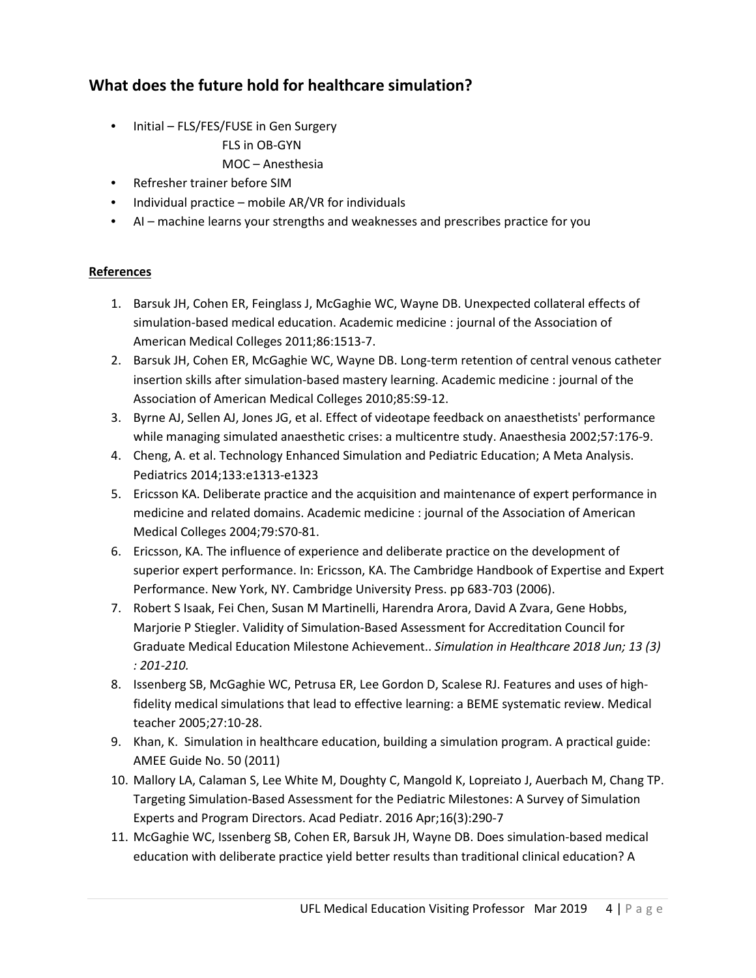### **What does the future hold for healthcare simulation?**

- Initial FLS/FES/FUSE in Gen Surgery
	- FLS in OB-GYN
	- MOC Anesthesia
- Refresher trainer before SIM
- Individual practice mobile AR/VR for individuals
- AI machine learns your strengths and weaknesses and prescribes practice for you

#### **References**

- 1. Barsuk JH, Cohen ER, Feinglass J, McGaghie WC, Wayne DB. Unexpected collateral effects of simulation-based medical education. Academic medicine : journal of the Association of American Medical Colleges 2011;86:1513-7.
- 2. Barsuk JH, Cohen ER, McGaghie WC, Wayne DB. Long-term retention of central venous catheter insertion skills after simulation-based mastery learning. Academic medicine : journal of the Association of American Medical Colleges 2010;85:S9-12.
- 3. Byrne AJ, Sellen AJ, Jones JG, et al. Effect of videotape feedback on anaesthetists' performance while managing simulated anaesthetic crises: a multicentre study. Anaesthesia 2002;57:176-9.
- 4. Cheng, A. et al. Technology Enhanced Simulation and Pediatric Education; A Meta Analysis. Pediatrics 2014;133:e1313-e1323
- 5. Ericsson KA. Deliberate practice and the acquisition and maintenance of expert performance in medicine and related domains. Academic medicine : journal of the Association of American Medical Colleges 2004;79:S70-81.
- 6. Ericsson, KA. The influence of experience and deliberate practice on the development of superior expert performance. In: Ericsson, KA. The Cambridge Handbook of Expertise and Expert Performance. New York, NY. Cambridge University Press. pp 683-703 (2006).
- 7. Robert S Isaak, Fei Chen, Susan M Martinelli, Harendra Arora, David A Zvara, Gene Hobbs, Marjorie P Stiegler. Validity of Simulation-Based Assessment for Accreditation Council for Graduate Medical Education Milestone Achievement.. *Simulation in Healthcare 2018 Jun; 13 (3) : 201-210.*
- 8. Issenberg SB, McGaghie WC, Petrusa ER, Lee Gordon D, Scalese RJ. Features and uses of highfidelity medical simulations that lead to effective learning: a BEME systematic review. Medical teacher 2005;27:10-28.
- 9. Khan, K. Simulation in healthcare education, building a simulation program. A practical guide: AMEE Guide No. 50 (2011)
- 10. Mallory LA, Calaman S, Lee White M, Doughty C, Mangold K, Lopreiato J, Auerbach M, Chang TP. Targeting Simulation-Based Assessment for the Pediatric Milestones: A Survey of Simulation Experts and Program Directors. Acad Pediatr. 2016 Apr;16(3):290-7
- 11. McGaghie WC, Issenberg SB, Cohen ER, Barsuk JH, Wayne DB. Does simulation-based medical education with deliberate practice yield better results than traditional clinical education? A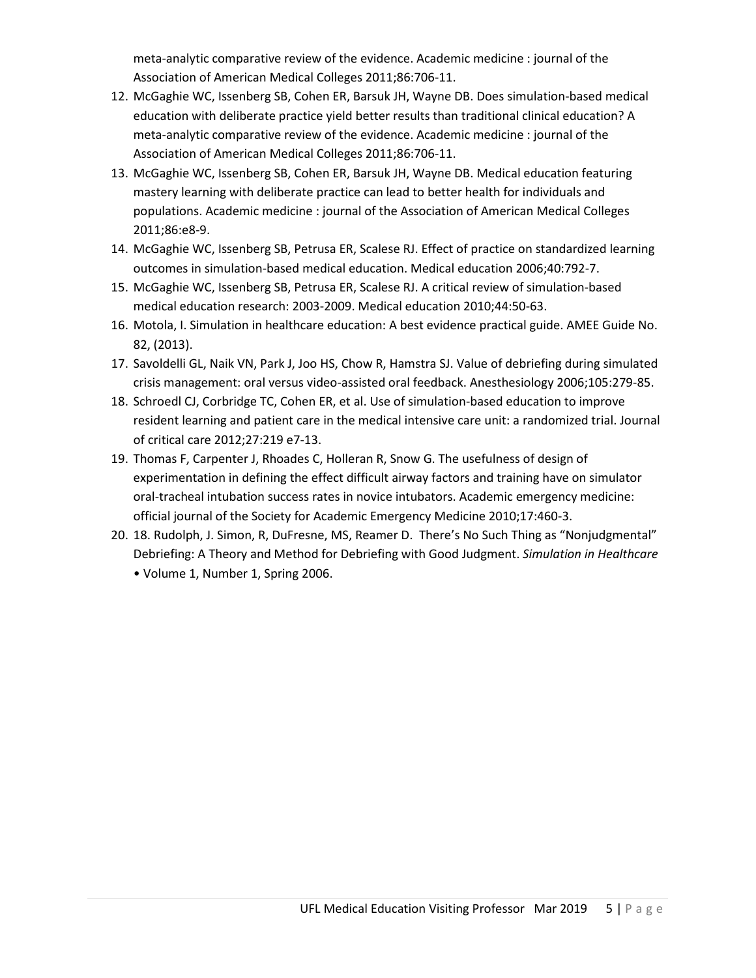meta-analytic comparative review of the evidence. Academic medicine : journal of the Association of American Medical Colleges 2011;86:706-11.

- 12. McGaghie WC, Issenberg SB, Cohen ER, Barsuk JH, Wayne DB. Does simulation-based medical education with deliberate practice yield better results than traditional clinical education? A meta-analytic comparative review of the evidence. Academic medicine : journal of the Association of American Medical Colleges 2011;86:706-11.
- 13. McGaghie WC, Issenberg SB, Cohen ER, Barsuk JH, Wayne DB. Medical education featuring mastery learning with deliberate practice can lead to better health for individuals and populations. Academic medicine : journal of the Association of American Medical Colleges 2011;86:e8-9.
- 14. McGaghie WC, Issenberg SB, Petrusa ER, Scalese RJ. Effect of practice on standardized learning outcomes in simulation-based medical education. Medical education 2006;40:792-7.
- 15. McGaghie WC, Issenberg SB, Petrusa ER, Scalese RJ. A critical review of simulation-based medical education research: 2003-2009. Medical education 2010;44:50-63.
- 16. Motola, I. Simulation in healthcare education: A best evidence practical guide. AMEE Guide No. 82, (2013).
- 17. Savoldelli GL, Naik VN, Park J, Joo HS, Chow R, Hamstra SJ. Value of debriefing during simulated crisis management: oral versus video-assisted oral feedback. Anesthesiology 2006;105:279-85.
- 18. Schroedl CJ, Corbridge TC, Cohen ER, et al. Use of simulation-based education to improve resident learning and patient care in the medical intensive care unit: a randomized trial. Journal of critical care 2012;27:219 e7-13.
- 19. Thomas F, Carpenter J, Rhoades C, Holleran R, Snow G. The usefulness of design of experimentation in defining the effect difficult airway factors and training have on simulator oral-tracheal intubation success rates in novice intubators. Academic emergency medicine: official journal of the Society for Academic Emergency Medicine 2010;17:460-3.
- 20. 18. Rudolph, J. Simon, R, DuFresne, MS, Reamer D. There's No Such Thing as "Nonjudgmental" Debriefing: A Theory and Method for Debriefing with Good Judgment. *Simulation in Healthcare*  • Volume 1, Number 1, Spring 2006.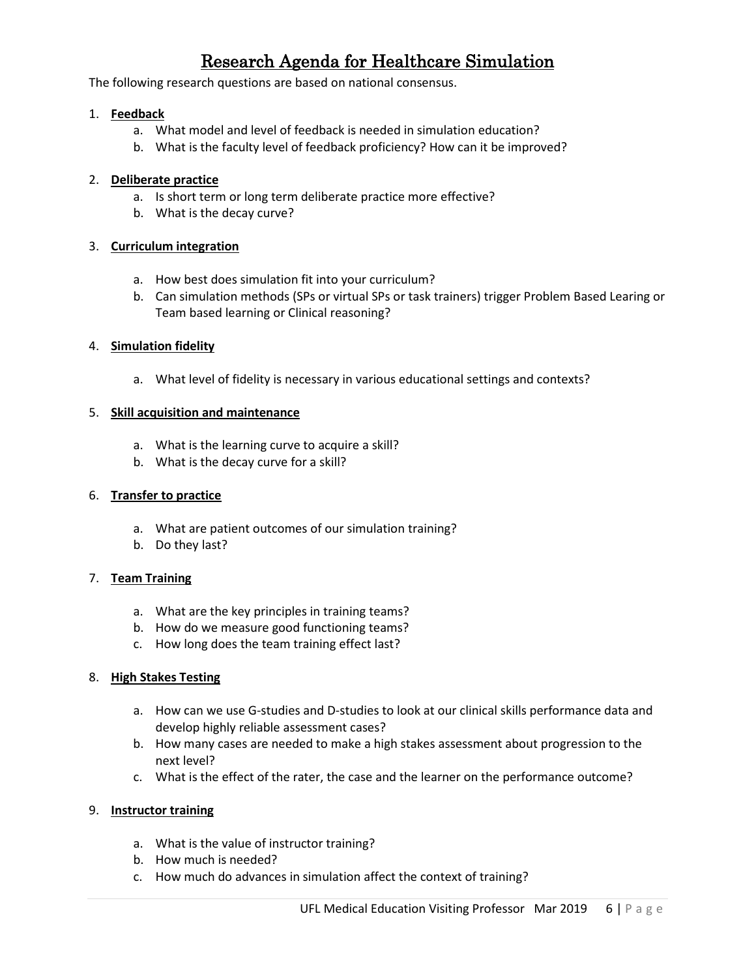## Research Agenda for Healthcare Simulation

The following research questions are based on national consensus.

#### 1. **Feedback**

- a. What model and level of feedback is needed in simulation education?
- b. What is the faculty level of feedback proficiency? How can it be improved?

#### 2. **Deliberate practice**

- a. Is short term or long term deliberate practice more effective?
- b. What is the decay curve?

#### 3. **Curriculum integration**

- a. How best does simulation fit into your curriculum?
- b. Can simulation methods (SPs or virtual SPs or task trainers) trigger Problem Based Learing or Team based learning or Clinical reasoning?

#### 4. **Simulation fidelity**

a. What level of fidelity is necessary in various educational settings and contexts?

#### 5. **Skill acquisition and maintenance**

- a. What is the learning curve to acquire a skill?
- b. What is the decay curve for a skill?

#### 6. **Transfer to practice**

- a. What are patient outcomes of our simulation training?
- b. Do they last?

#### 7. **Team Training**

- a. What are the key principles in training teams?
- b. How do we measure good functioning teams?
- c. How long does the team training effect last?

#### 8. **High Stakes Testing**

- a. How can we use G-studies and D-studies to look at our clinical skills performance data and develop highly reliable assessment cases?
- b. How many cases are needed to make a high stakes assessment about progression to the next level?
- c. What is the effect of the rater, the case and the learner on the performance outcome?

#### 9. **Instructor training**

- a. What is the value of instructor training?
- b. How much is needed?
- c. How much do advances in simulation affect the context of training?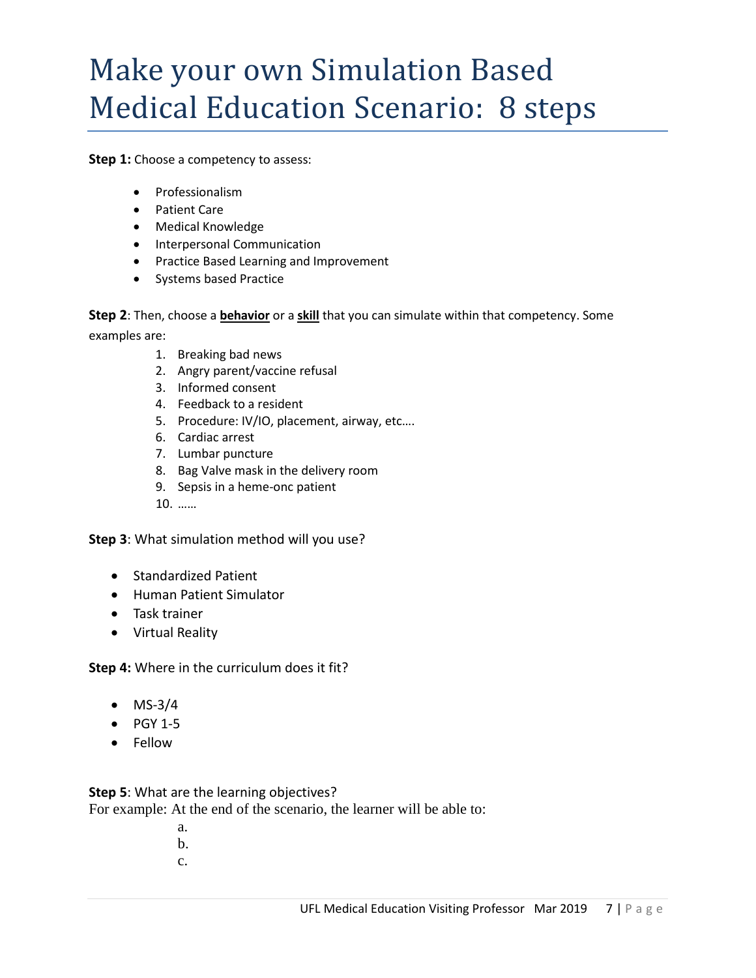## Make your own Simulation Based Medical Education Scenario: 8 steps

**Step 1:** Choose a competency to assess:

- Professionalism
- Patient Care
- Medical Knowledge
- Interpersonal Communication
- Practice Based Learning and Improvement
- Systems based Practice

**Step 2**: Then, choose a **behavior** or a **skill** that you can simulate within that competency. Some examples are:

- 1. Breaking bad news
- 2. Angry parent/vaccine refusal
- 3. Informed consent
- 4. Feedback to a resident
- 5. Procedure: IV/IO, placement, airway, etc….
- 6. Cardiac arrest
- 7. Lumbar puncture
- 8. Bag Valve mask in the delivery room
- 9. Sepsis in a heme-onc patient
- 10. ……

**Step 3**: What simulation method will you use?

- Standardized Patient
- Human Patient Simulator
- Task trainer
- Virtual Reality

**Step 4:** Where in the curriculum does it fit?

- $MS-3/4$
- $\bullet$  PGY 1-5
- Fellow

**Step 5**: What are the learning objectives?

For example: At the end of the scenario, the learner will be able to:

- a.
- b.
- c.